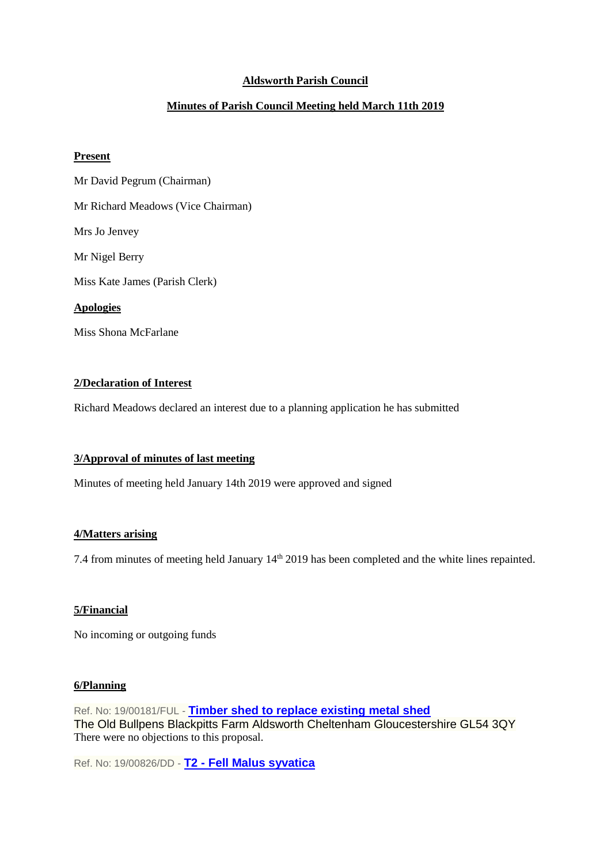# **Aldsworth Parish Council**

# **Minutes of Parish Council Meeting held March 11th 2019**

### **Present**

Mr David Pegrum (Chairman) Mr Richard Meadows (Vice Chairman) Mrs Jo Jenvey Mr Nigel Berry Miss Kate James (Parish Clerk) **Apologies** Miss Shona McFarlane

### **2/Declaration of Interest**

Richard Meadows declared an interest due to a planning application he has submitted

### **3/Approval of minutes of last meeting**

Minutes of meeting held January 14th 2019 were approved and signed

### **4/Matters arising**

7.4 from minutes of meeting held January 14<sup>th</sup> 2019 has been completed and the white lines repainted.

### **5/Financial**

No incoming or outgoing funds

#### **6/Planning**

Ref. No: 19/00181/FUL - **[Timber shed to replace existing metal shed](https://publicaccess.cotswold.gov.uk/online-applications/applicationDetails.do?keyVal=PLHBC7FI03E00&activeTab=summary)** The Old Bullpens Blackpitts Farm Aldsworth Cheltenham Gloucestershire GL54 3QY There were no objections to this proposal.

Ref. No: 19/00826/DD - **T2 - [Fell Malus syvatica](https://publicaccess.cotswold.gov.uk/online-applications/applicationDetails.do?keyVal=PNP0SCFI02V00&activeTab=summary)**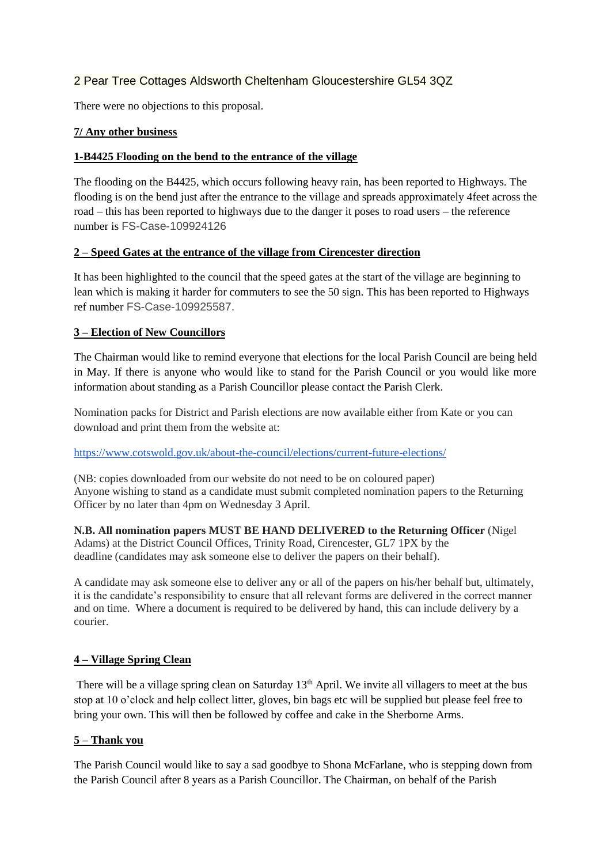# 2 Pear Tree Cottages Aldsworth Cheltenham Gloucestershire GL54 3QZ

There were no objections to this proposal.

# **7/ Any other business**

### **1-B4425 Flooding on the bend to the entrance of the village**

The flooding on the B4425, which occurs following heavy rain, has been reported to Highways. The flooding is on the bend just after the entrance to the village and spreads approximately 4feet across the road – this has been reported to highways due to the danger it poses to road users – the reference number is FS-Case-109924126

# **2 – Speed Gates at the entrance of the village from Cirencester direction**

It has been highlighted to the council that the speed gates at the start of the village are beginning to lean which is making it harder for commuters to see the 50 sign. This has been reported to Highways ref number FS-Case-109925587.

# **3 – Election of New Councillors**

The Chairman would like to remind everyone that elections for the local Parish Council are being held in May. If there is anyone who would like to stand for the Parish Council or you would like more information about standing as a Parish Councillor please contact the Parish Clerk.

Nomination packs for District and Parish elections are now available either from Kate or you can download and print them from the website at:

### <https://www.cotswold.gov.uk/about-the-council/elections/current-future-elections/>

(NB: copies downloaded from our website do not need to be on coloured paper) Anyone wishing to stand as a candidate must submit completed nomination papers to the Returning Officer by no later than 4pm on Wednesday 3 April.

**N.B. All nomination papers MUST BE HAND DELIVERED to the Returning Officer** (Nigel Adams) at the District Council Offices, Trinity Road, Cirencester, GL7 1PX by the deadline (candidates may ask someone else to deliver the papers on their behalf).

A candidate may ask someone else to deliver any or all of the papers on his/her behalf but, ultimately, it is the candidate's responsibility to ensure that all relevant forms are delivered in the correct manner and on time. Where a document is required to be delivered by hand, this can include delivery by a courier.

### **4 – Village Spring Clean**

There will be a village spring clean on Saturday 13<sup>th</sup> April. We invite all villagers to meet at the bus stop at 10 o'clock and help collect litter, gloves, bin bags etc will be supplied but please feel free to bring your own. This will then be followed by coffee and cake in the Sherborne Arms.

# **5 – Thank you**

The Parish Council would like to say a sad goodbye to Shona McFarlane, who is stepping down from the Parish Council after 8 years as a Parish Councillor. The Chairman, on behalf of the Parish